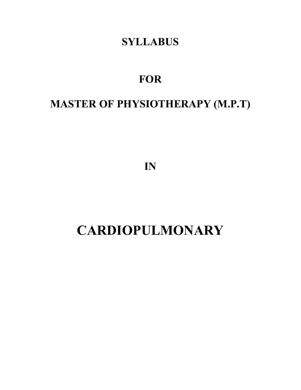## **SYLLABUS**

# **FOR**

# **MASTER OF PHYSIOTHERAPY (M.P.T)**

**IN**

# **CARDIOPULMONARY**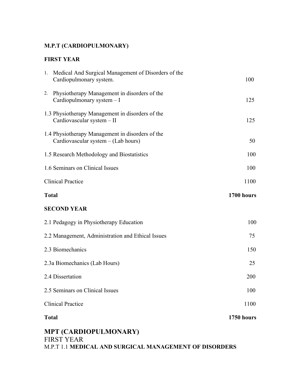#### **M.P.T (CARDIOPULMONARY)**

#### **FIRST YEAR**

|              | Medical And Surgical Management of Disorders of the<br>Cardiopulmonary system.          | 100        |
|--------------|-----------------------------------------------------------------------------------------|------------|
| 2.           | Physiotherapy Management in disorders of the<br>Cardiopulmonary system - I              | 125        |
|              | 1.3 Physiotherapy Management in disorders of the<br>Cardiovascular system - II          | 125        |
|              | 1.4 Physiotherapy Management in disorders of the<br>Cardiovascular system - (Lab hours) | 50         |
|              | 1.5 Research Methodology and Biostatistics                                              | 100        |
|              | 1.6 Seminars on Clinical Issues                                                         | 100        |
|              | <b>Clinical Practice</b>                                                                | 1100       |
| <b>Total</b> |                                                                                         | 1700 hours |
|              | <b>SECOND YEAR</b>                                                                      |            |
|              | 2.1 Pedagogy in Physiotherapy Education                                                 | 100        |
|              | 2.2 Management, Administration and Ethical Issues                                       |            |
|              |                                                                                         | 75         |
|              | 2.3 Biomechanics                                                                        | 150        |
|              | 2.3a Biomechanics (Lab Hours)                                                           | 25         |
|              | 2.4 Dissertation                                                                        | 200        |
|              | 2.5 Seminars on Clinical Issues                                                         | 100        |
|              | <b>Clinical Practice</b>                                                                | 1100       |

## **MPT (CARDIOPULMONARY)**

FIRST YEAR M.P.T 1.1 **MEDICAL AND SURGICAL MANAGEMENT OF DISORDERS**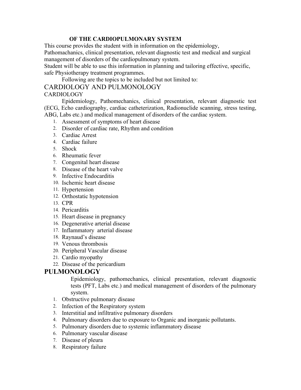#### **OF THE CARDIOPULMONARY SYSTEM**

This course provides the student with in information on the epidemiology,

Pathomachanics, clinical presentation, relevant diagnostic test and medical and surgical management of disorders of the cardiopulmonary system.

Student will be able to use this information in planning and tailoring effective, specific, safe Physiotherapy treatment programmes.

Following are the topics to be included but not limited to:

#### CARDIOLOGY AND PULMONOLOGY

#### **CARDIOLOGY**

Epidemiology, Pathomechanics, clinical presentation, relevant diagnostic test (ECG, Echo cardiography, cardiac catheterization, Radionuclide scanning, stress testing, ABG, Labs etc.) and medical management of disorders of the cardiac system.

- 1. Assessment of symptoms of heart disease
- 2. Disorder of cardiac rate, Rhythm and condition
- 3. Cardiac Arrest
- 4. Cardiac failure
- 5. Shock
- 6. Rheumatic fever
- 7. Congenital heart disease
- 8. Disease of the heart valve
- 9. Infective Endocarditis
- 10. Ischemic heart disease
- 11. Hypertension
- 12. Orthostatic hypotension
- 13. CPR
- 14. Pericarditis
- 15. Heart disease in pregnancy
- 16. Degenerative arterial disease
- 17. Inflammatory arterial disease
- 18. Raynaud's disease
- 19. Venous thrombosis
- 20. Peripheral Vascular disease
- 21. Cardio myopathy
- 22. Disease of the pericardium

#### **PULMONOLOGY**

Epidemiology, pathomechanics, clinical presentation, relevant diagnostic tests (PFT, Labs etc.) and medical management of disorders of the pulmonary system.

- 1. Obstructive pulmonary disease
- 2. Infection of the Respiratory system
- 3. Interstitial and infiltrative pulmonary disorders
- 4. Pulmonary disorders due to exposure to Organic and inorganic pollutants.
- 5. Pulmonary disorders due to systemic inflammatory disease
- 6. Pulmonary vascular disease
- 7. Disease of pleura
- 8. Respiratory failure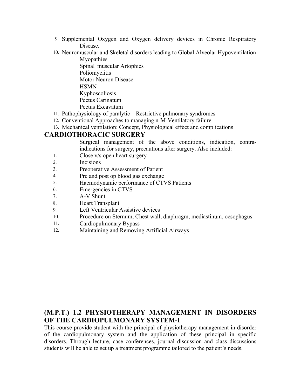- 9. Supplemental Oxygen and Oxygen delivery devices in Chronic Respiratory Disease.
- 10. Neuromuscular and Skeletal disorders leading to Global Alveolar Hypoventilation Myopathies

Spinal muscular Artophies Poliomyelitis Motor Neuron Disease **HSMN** Kyphoscoliosis Pectus Carinatum Pectus Excavatum

- 11. Pathophysiology of paralytic Restrictive pulmonary syndromes
- 12. Conventional Approaches to managing n-M-Ventilatory failure
- 13. Mechanical ventilation: Concept, Physiological effect and complications

#### **CARDIOTHORACIC SURGERY**

Surgical management of the above conditions, indication, contraindications for surgery, precautions after surgery. Also included:

- 1. Close v/s open heart surgery
- 2. Incisions
- 3. Preoperative Assessment of Patient
- 4. Pre and post op blood gas exchange
- 5. Haemodynamic performance of CTVS Patients
- 6. Emergencies in CTVS
- 7. A-V Shunt
- 8. Heart Transplant
- 9. Left Ventricular Assistive devices
- 10. Procedure on Sternum, Chest wall, diaphragm, mediastinum, oesophagus
- 11. Cardiopulmonary Bypass
- 12. Maintaining and Removing Artificial Airways

#### **(M.P.T.) 1.2 PHYSIOTHERAPY MANAGEMENT IN DISORDERS OF THE CARDIOPULMONARY SYSTEM-I**

This course provide student with the principal of physiotherapy management in disorder of the cardiopulmonary system and the application of these principal in specific disorders. Through lecture, case conferences, journal discussion and class discussions students will be able to set up a treatment programme tailored to the patient's needs.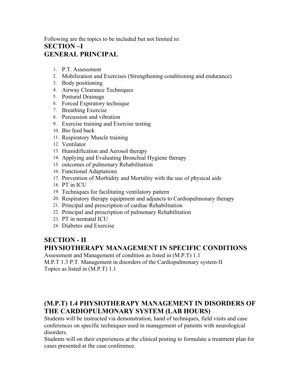#### Following are the topics to be included but not limited to: **SECTION –I GENERAL PRINCIPAL**

- 1. P.T. Assessment
- 2. Mobilization and Exercises (Strengthening conditioning and endurance)
- 3. Body positioning
- 4. Airway Clearance Techniques
- 5. Postural Drainage
- 6. Forced Expiratory technique
- 7. Breathing Exercise
- 8. Percussion and vibration
- 9. Exercise training and Exercise testing
- 10. Bio feed back
- 11. Respiratory Muscle training
- 12. Ventilator
- 13. Humidification and Aerosol therapy
- 14. Applying and Evaluating Bronchial Hygiene therapy
- 15. outcomes of pulmonary Rehabilitation
- 16. Functional Adaptations
- 17. Prevention of Morbidity and Mortality with the use of physical aids
- 18. PT in ICU
- 19. Techniques for facilitating ventilatory pattern
- 20. Respiratory therapy equipment and adjuncts to Cardiopulmonary therapy
- 21. Principal and prescription of cardiac Rehabilitation
- 22. Principal and prescription of pulmonary Rehabilitation
- 23. PT in neonatal ICU
- 24. Diabetes and Exercise

#### **SECTION - II PHYSIOTHERAPY MANAGEMENT IN SPECIFIC CONDITIONS**

Assessment and Management of condition as listed in (M.P.T) 1.1

M.P.T 1.3 P.T. Management in disorders of the Cardiopulmonary system-II Topics as listed in (M.P.T) 1.1

#### **(M.P.T) 1.4 PHYSIOTHERAPY MANAGEMENT IN DISORDERS OF THE CARDIOPULMONARY SYSTEM (LAB HOURS)**

Students will be instructed via demonstration, hand of techniques, field visits and case conferences on specific techniques used in management of patients with neurological disorders.

Students will on their experiences at the clinical posting to formulate a treatment plan for cases presented at the case conference.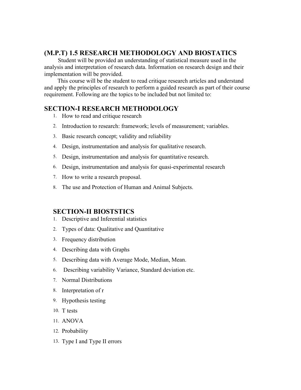#### **(M.P.T) 1.5 RESEARCH METHODOLOGY AND BIOSTATICS**

Student will be provided an understanding of statistical measure used in the analysis and interpretation of research data. Information on research design and their implementation will be provided.

 This course will be the student to read critique research articles and understand and apply the principles of research to perform a guided research as part of their course requirement. Following are the topics to be included but not limited to:

#### **SECTION-I RESEARCH METHODOLOGY**

- 1. How to read and critique research
- 2. Introduction to research: framework; levels of measurement; variables.
- 3. Basic research concept; validity and reliability
- 4. Design, instrumentation and analysis for qualitative research.
- 5. Design, instrumentation and analysis for quantitative research.
- 6. Design, instrumentation and analysis for quasi-experimental research
- 7. How to write a research proposal.
- 8. The use and Protection of Human and Animal Subjects.

#### **SECTION-II BIOSTSTICS**

- 1. Descriptive and Inferential statistics
- 2. Types of data: Qualitative and Quantitative
- 3. Frequency distribution
- 4. Describing data with Graphs
- 5. Describing data with Average Mode, Median, Mean.
- 6. Describing variability Variance, Standard deviation etc.
- 7. Normal Distributions
- 8. Interpretation of r
- 9. Hypothesis testing
- 10. T tests
- 11. ANOVA
- 12. Probability
- 13. Type I and Type II errors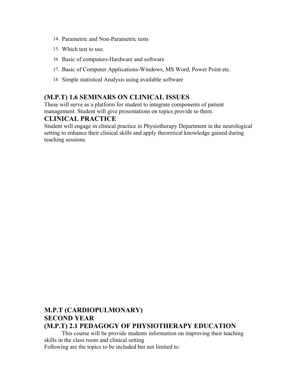- 14. Parametric and Non-Parametric tests
- 15. Which test to use.
- 16. Basic of computers-Hardware and software
- 17. Basic of Computer Applications-Windows, MS Word, Power Point etc.
- 18. Simple statistical Analysis using available software

#### **(M.P.T) 1.6 SEMINARS ON CLINICAL ISSUES**

These will serve as a platform for student to integrate components of patient management. Student will give presentations on topics provide to them.

#### **CLINICAL PRACTICE**

Student will engage in clinical practice in Physiotherapy Department in the neurological setting to enhance their clinical skills and apply theoretical knowledge gained during teaching sessions.

#### **M.P.T (CARDIOPULMONARY) SECOND YEAR (M.P.T) 2.1 PEDAGOGY OF PHYSIOTHERAPY EDUCATION**

This course will be provide students information on improving their teaching skills in the class room and clinical setting Following are the topics to be included but not limited to: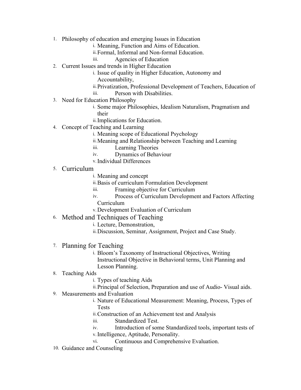- 1. Philosophy of education and emerging Issues in Education
	- i. Meaning, Function and Aims of Education.
		- ii.Formal, Informal and Non-formal Education.
		- iii. Agencies of Education
- 2. Current Issues and trends in Higher Education
	- i. Issue of quality in Higher Education, Autonomy and
	- Accountability,
	- ii.Privatization, Professional Development of Teachers, Education of
	- iii. Person with Disabilities.
- 3. Need for Education Philosophy
	- i. Some major Philosophies, Idealism Naturalism, Pragmatism and their
	- ii.Implications for Education.
- 4. Concept of Teaching and Learning
	- i. Meaning scope of Educational Psychology
	- ii.Meaning and Relationship between Teaching and Learning
	- iii. Learning Theories
	- iv. Dynamics of Behaviour
	- v.Individual Differences
- 5. Curriculum
	- i. Meaning and concept
	- ii.Basis of curriculum Formulation Development
	- iii. Framing objective for Curriculum
	- iv. Process of Curriculum Development and Factors Affecting Curriculum
	- v.Development Evaluation of Curriculum
- 6. Method and Techniques of Teaching
	- i. Lecture, Demonstration,
	- ii.Discussion, Seminar, Assignment, Project and Case Study.
- 7. Planning for Teaching
	- i. Bloom's Taxonomy of Instructional Objectives, Writing
		- Instructional Objective in Behavioral terms, Unit Planning and Lesson Planning.
- 8. Teaching Aids
	- i. Types of teaching Aids
	- ii.Principal of Selection, Preparation and use of Audio- Visual aids.
- 9. Measurements and Evaluation
	- i. Nature of Educational Measurement: Meaning, Process, Types of Tests
	- ii.Construction of an Achievement test and Analysis
	- iii. Standardized Test.
	- iv. Introduction of some Standardized tools, important tests of v.Intelligence, Aptitude, Personality.
	- vi. Continuous and Comprehensive Evaluation.
- 10. Guidance and Counseling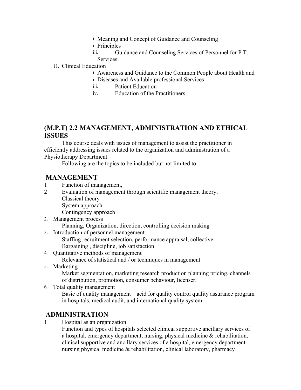- i. Meaning and Concept of Guidance and Counseling
- ii.Principles
- iii. Guidance and Counseling Services of Personnel for P.T. Services

#### 11. Clinical Education

- i. Awareness and Guidance to the Common People about Health and
- ii.Diseases and Available professional Services
- iii. Patient Education
- iv. Education of the Practitioners

#### **(M.P.T) 2.2 MANAGEMENT, ADMINISTRATION AND ETHICAL ISSUES**

This course deals with issues of management to assist the practitioner in efficiently addressing issues related to the organization and administration of a Physiotherapy Department.

Following are the topics to be included but not limited to:

#### **MANAGEMENT**

- 1 Function of management,
- 2 Evaluation of management through scientific management theory,
	- Classical theory
		- System approach

Contingency approach

- 2. Management process
	- Planning, Organization, direction, controlling decision making
- 3. Introduction of personnel management

Staffing recruitment selection, performance appraisal, collective Bargaining , discipline, job satisfaction

4. Quantitative methods of management

Relevance of statistical and / or techniques in management

5. Marketing

Market segmentation, marketing research production planning pricing, channels of distribution, promotion, consumer behaviour, licenser.

6. Total quality management Basic of quality management – acid for quality control quality assurance program in hospitals, medical audit, and international quality system.

#### **ADMINISTRATION**

1 Hospital as an organization

Function and types of hospitals selected clinical supportive ancillary services of a hospital, emergency department, nursing, physical medicine & rehabilitation, clinical supportive and ancillary services of a hospital, emergency department nursing physical medicine  $\&$  rehabilitation, clinical laboratory, pharmacy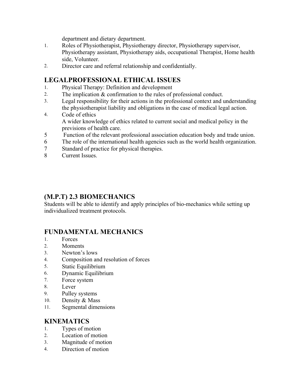department and dietary department.

- 1. Roles of Physiotherapist, Physiotherapy director, Physiotherapy supervisor, Physiotherapy assistant, Physiotherapy aids, occupational Therapist, Home health side, Volunteer.
- 2. Director care and referral relationship and confidentially.

#### **LEGALPROFESSIONAL ETHICAL ISSUES**

- 1. Physical Therapy: Definition and development
- 2. The implication & confirmation to the rules of professional conduct.
- 3. Legal responsibility for their actions in the professional context and understanding the physiotherapist liability and obligations in the case of medical legal action.
- 4. Code of ethics A wider knowledge of ethics related to current social and medical policy in the previsions of health care.
- 5 Function of the relevant professional association education body and trade union.
- 6 The role of the international health agencies such as the world health organization.
- 7 Standard of practice for physical therapies.
- 8 Current Issues.

#### **(M.P.T) 2.3 BIOMECHANICS**

Students will be able to identify and apply principles of bio-mechanics while setting up individualized treatment protocols.

#### **FUNDAMENTAL MECHANICS**

- 1. Forces
- 2. Moments
- 3. Newton's lows
- 4. Composition and resolution of forces
- 5. Static Equilibrium
- 6. Dynamic Equilibrium
- 7. Force system
- 8. Lever
- 9. Pulley systems
- 10. Density & Mass
- 11. Segmental dimensions

#### **KINEMATICS**

- 1. Types of motion
- 2. Location of motion
- 3. Magnitude of motion
- 4. Direction of motion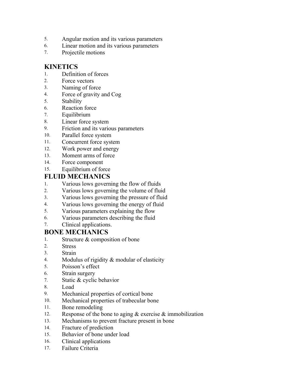- 5. Angular motion and its various parameters
- 6. Linear motion and its various parameters
- 7. Projectile motions

#### **KINETICS**

- 1. Definition of forces
- 2. Force vectors
- 3. Naming of force
- 4. Force of gravity and Cog
- 5. Stability
- 6. Reaction force
- 7. Equilibrium
- 8. Linear force system
- 9. Friction and its various parameters
- 10. Parallel force system
- 11. Concurrent force system
- 12. Work power and energy
- 13. Moment arms of force
- 14. Force component
- 15. Equilibrium of force

#### **FLUID MECHANICS**

- 1. Various lows governing the flow of fluids
- 2. Various lows governing the volume of fluid
- 3. Various lows governing the pressure of fluid
- 4. Various lows governing the energy of fluid
- 5. Various parameters explaining the flow
- 6. Various parameters describing the fluid
- 7. Clinical applications.

#### **BONE MECHANICS**

- 1. Structure & composition of bone
- 2. Stress
- 3. Strain
- 4. Modulus of rigidity & modular of elasticity
- 5. Poisson's effect
- 6. Strain surgery
- 7. Static & cyclic behavior
- 8. Load
- 9. Mechanical properties of cortical bone
- 10. Mechanical properties of trabecular bone
- 11. Bone remodeling
- 12. Response of the bone to aging  $&$  exercise  $&$  immobilization
- 13. Mechanisms to prevent fracture present in bone
- 14. Fracture of prediction
- 15. Behavior of bone under load
- 16. Clinical applications
- 17. Failure Criteria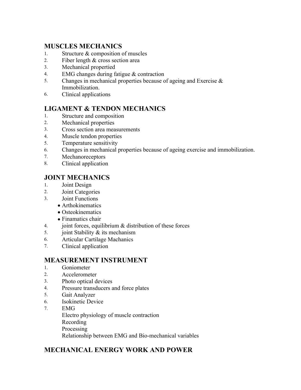#### **MUSCLES MECHANICS**

- 1. Structure & composition of muscles
- 2. Fiber length & cross section area
- 3. Mechanical propertied
- 4. EMG changes during fatigue & contraction
- 5. Changes in mechanical properties because of ageing and Exercise  $\&$ Immobilization.
- 6. Clinical applications

#### **LIGAMENT & TENDON MECHANICS**

- 1. Structure and composition
- 2. Mechanical properties
- 3. Cross section area measurements
- 4. Muscle tendon properties
- 5. Temperature sensitivity
- 6. Changes in mechanical properties because of ageing exercise and immobilization.
- 7. Mechanoreceptors
- 8. Clinical application

#### **JOINT MECHANICS**

- 1. Joint Design
- 2. Joint Categories
- 3. Joint Functions
	- Arthokinematics
	- Osteokinematics
	- Finamatics chair
- 4. joint forces, equilibrium & distribution of these forces
- 5. joint Stability & its mechanism
- 6. Articular Cartilage Machanics
- 7. Clinical application

#### **MEASUREMENT INSTRUMENT**

- 1. Goniometer
- 2. Accelerometer
- 3. Photo optical devices
- 4. Pressure transducers and force plates
- 5. Gait Analyzer
- 6. Isokinetic Device
- 7. EMG
	- Electro physiology of muscle contraction Recording
	-
	- Processing

Relationship between EMG and Bio-mechanical variables

#### **MECHANICAL ENERGY WORK AND POWER**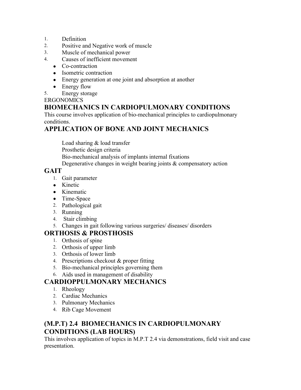- 1. Definition
- 2. Positive and Negative work of muscle
- 3. Muscle of mechanical power
- 4. Causes of inefficient movement
	- Co-contraction
	- Isometric contraction
	- Energy generation at one joint and absorption at another
	- Energy flow
- 5. Energy storage

#### **ERGONOMICS**

#### **BIOMECHANICS IN CARDIOPULMONARY CONDITIONS**

This course involves application of bio-mechanical principles to cardiopulmonary conditions.

#### **APPLICATION OF BONE AND JOINT MECHANICS**

Load sharing & load transfer Prosthetic design criteria Bio-mechanical analysis of implants internal fixations Degenerative changes in weight bearing joints & compensatory action

#### **GAIT**

- 1. Gait parameter
- Kinetic
- Kinematic
- Time-Space
- 2. Pathological gait
- 3. Running
- 4. Stair climbing
- 5. Changes in gait following various surgeries/ diseases/ disorders

#### **ORTHOSIS & PROSTHOSIS**

- 1. Orthosis of spine
- 2. Orthosis of upper limb
- 3. Orthosis of lower limb
- 4. Prescriptions checkout & proper fitting
- 5. Bio-mechanical principles governing them
- 6. Aids used in management of disability

#### **CARDIOPPULMONARY MECHANICS**

- 1. Rheology
- 2. Cardiac Mechanics
- 3. Pulmonary Mechanics
- 4. Rib Cage Movement

#### **(M.P.T) 2.4 BIOMECHANICS IN CARDIOPULMONARY CONDITIONS (LAB HOURS)**

This involves application of topics in M.P.T 2.4 via demonstrations, field visit and case presentation.